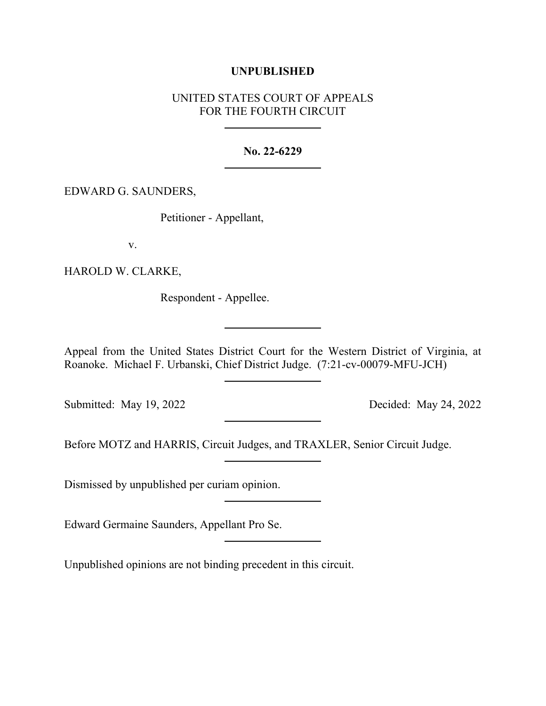## **UNPUBLISHED**

# UNITED STATES COURT OF APPEALS FOR THE FOURTH CIRCUIT

### **No. 22-6229**

### EDWARD G. SAUNDERS,

Petitioner - Appellant,

v.

HAROLD W. CLARKE,

Respondent - Appellee.

Appeal from the United States District Court for the Western District of Virginia, at Roanoke. Michael F. Urbanski, Chief District Judge. (7:21-cv-00079-MFU-JCH)

Submitted: May 19, 2022 Decided: May 24, 2022

Before MOTZ and HARRIS, Circuit Judges, and TRAXLER, Senior Circuit Judge.

Dismissed by unpublished per curiam opinion.

Edward Germaine Saunders, Appellant Pro Se.

Unpublished opinions are not binding precedent in this circuit.